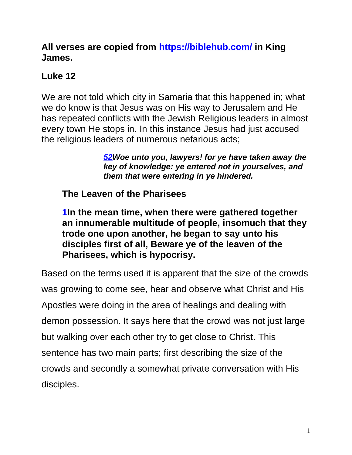#### **All verses are copied from<https://biblehub.com/> in King James.**

## **Luke 12**

We are not told which city in Samaria that this happened in; what we do know is that Jesus was on His way to Jerusalem and He has repeated conflicts with the Jewish Religious leaders in almost every town He stops in. In this instance Jesus had just accused the religious leaders of numerous nefarious acts;

> *[52W](https://biblehub.com/luke/11-52.htm)oe unto you, lawyers! for ye have taken away the key of knowledge: ye entered not in yourselves, and them that were entering in ye hindered.*

**The Leaven of the Pharisees**

**[1I](https://biblehub.com/luke/12-1.htm)n the mean time, when there were gathered together an innumerable multitude of people, insomuch that they trode one upon another, he began to say unto his disciples first of all, Beware ye of the leaven of the Pharisees, which is hypocrisy.**

Based on the terms used it is apparent that the size of the crowds was growing to come see, hear and observe what Christ and His Apostles were doing in the area of healings and dealing with demon possession. It says here that the crowd was not just large but walking over each other try to get close to Christ. This sentence has two main parts; first describing the size of the crowds and secondly a somewhat private conversation with His disciples.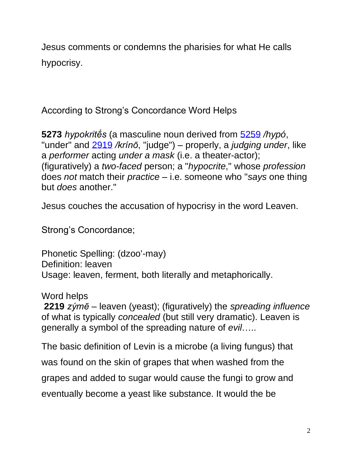Jesus comments or condemns the pharisies for what He calls hypocrisy.

According to Strong's Concordance Word Helps

**5273** *hypokritḗs* (a masculine noun derived from [5259](https://biblehub.com/greek/5259.htm) */hypó*, "under" and [2919](https://biblehub.com/greek/2919.htm) */krínō*, "judge") – properly, a *judging under*, like a *performer* acting *under a mask* (i.e. a theater-actor); (figuratively) a *two-faced* person; a "*hypocrite*," whose *profession*  does *not* match their *practice* – i.e. someone who "*says* one thing but *does* another."

Jesus couches the accusation of hypocrisy in the word Leaven.

Strong's Concordance;

Phonetic Spelling: (dzoo'-may) Definition: leaven Usage: leaven, ferment, both literally and metaphorically.

Word helps

**2219** *zýmē* – leaven (yeast); (figuratively) the *spreading influence* of what is typically *concealed* (but still very dramatic). Leaven is generally a symbol of the spreading nature of *evil*…..

The basic definition of Levin is a microbe (a living fungus) that was found on the skin of grapes that when washed from the grapes and added to sugar would cause the fungi to grow and eventually become a yeast like substance. It would the be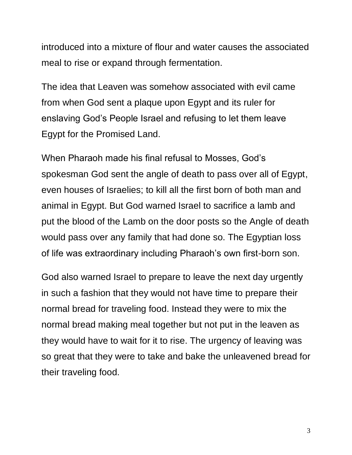introduced into a mixture of flour and water causes the associated meal to rise or expand through fermentation.

The idea that Leaven was somehow associated with evil came from when God sent a plaque upon Egypt and its ruler for enslaving God's People Israel and refusing to let them leave Egypt for the Promised Land.

When Pharaoh made his final refusal to Mosses, God's spokesman God sent the angle of death to pass over all of Egypt, even houses of Israelies; to kill all the first born of both man and animal in Egypt. But God warned Israel to sacrifice a lamb and put the blood of the Lamb on the door posts so the Angle of death would pass over any family that had done so. The Egyptian loss of life was extraordinary including Pharaoh's own first-born son.

God also warned Israel to prepare to leave the next day urgently in such a fashion that they would not have time to prepare their normal bread for traveling food. Instead they were to mix the normal bread making meal together but not put in the leaven as they would have to wait for it to rise. The urgency of leaving was so great that they were to take and bake the unleavened bread for their traveling food.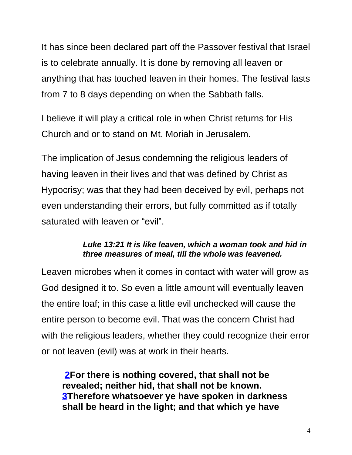It has since been declared part off the Passover festival that Israel is to celebrate annually. It is done by removing all leaven or anything that has touched leaven in their homes. The festival lasts from 7 to 8 days depending on when the Sabbath falls.

I believe it will play a critical role in when Christ returns for His Church and or to stand on Mt. Moriah in Jerusalem.

The implication of Jesus condemning the religious leaders of having leaven in their lives and that was defined by Christ as Hypocrisy; was that they had been deceived by evil, perhaps not even understanding their errors, but fully committed as if totally saturated with leaven or "evil".

#### *Luke 13:21 It is like leaven, which a woman took and hid in three measures of meal, till the whole was leavened.*

Leaven microbes when it comes in contact with water will grow as God designed it to. So even a little amount will eventually leaven the entire loaf; in this case a little evil unchecked will cause the entire person to become evil. That was the concern Christ had with the religious leaders, whether they could recognize their error or not leaven (evil) was at work in their hearts.

**[2F](https://biblehub.com/luke/12-2.htm)or there is nothing covered, that shall not be revealed; neither hid, that shall not be known. [3T](https://biblehub.com/luke/12-3.htm)herefore whatsoever ye have spoken in darkness shall be heard in the light; and that which ye have**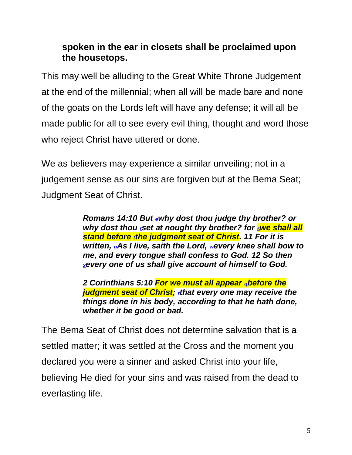#### **spoken in the ear in closets shall be proclaimed upon the housetops.**

This may well be alluding to the Great White Throne Judgement at the end of the millennial; when all will be made bare and none of the goats on the Lords left will have any defense; it will all be made public for all to see every evil thing, thought and word those who reject Christ have uttered or done.

We as believers may experience a similar unveiling; not in a judgement sense as our sins are forgiven but at the Bema Seat; Judgment Seat of Christ.

> *Romans 14:10 But [e](https://biblia.com/bible/kjv1900/romans/14/10-12#footnote1)why dost thou judge thy brother? or why dost thou r[s](https://biblia.com/bible/kjv1900/romans/14/10-12#footnote2)et at nought thy brother? for [s](https://biblia.com/bible/kjv1900/romans/14/10-12#footnote3)we shall all stand beforetthe judgment seat of Christ. 11 For it is written, [u](https://biblia.com/bible/kjv1900/romans/14/10-12#footnote5)As I live, saith the Lord, [w](https://biblia.com/bible/kjv1900/romans/14/10-12#footnote6)every knee shall bow to me, and every tongue shall confess to God. 12 So then [x](https://biblia.com/bible/kjv1900/romans/14/10-12#footnote7)every one of us shall give account of himself to God.*

*2 Corinthians 5:10 For we must all appear [q](https://biblia.com/bible/kjv1900/2-corinthians/5/10#footnote1)before the judgment seat of Christ;rthat every one may receive the things done in his body, according to that he hath done, whether it be good or bad.* 

The Bema Seat of Christ does not determine salvation that is a settled matter; it was settled at the Cross and the moment you declared you were a sinner and asked Christ into your life, believing He died for your sins and was raised from the dead to everlasting life.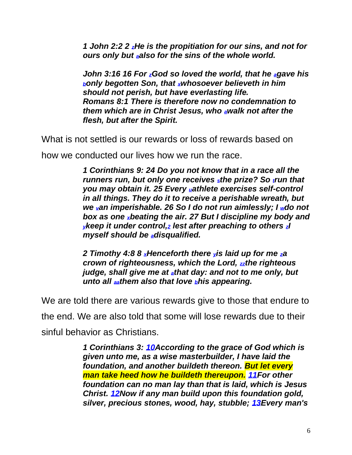*1 John 2:2 2 [z](https://biblia.com/bible/esv/1-john/2/2#footnote1)He is the propitiation for our sins, and not for ours only but [a](https://biblia.com/bible/esv/1-john/2/2#footnote2)also for the sins of the whole world.*

*John 3:16 16 For [z](https://biblia.com/bible/kjv1900/john/3/16#footnote1)God so loved the world, that he [a](https://biblia.com/bible/kjv1900/john/3/16#footnote2)gave his [b](https://biblia.com/bible/kjv1900/john/3/16#footnote3)only begotten Son, that [x](https://biblia.com/bible/kjv1900/john/3/16#footnote4)whosoever believeth in him should not perish, but have everlasting life. Romans 8:1 There is therefore now no condemnation to them which are in Christ Jesus, who [a](https://biblia.com/bible/kjv1900/romans/8/1#footnote1)walk not after the flesh, but after the Spirit.* 

What is not settled is our rewards or loss of rewards based on

how we conducted our lives how we run the race.

*1 Corinthians 9: 24 Do you not know that in a race all the runners run, but only one receives [s](https://biblia.com/bible/esv/1-corinthians/9/4-27#footnote32)the prize? Sotrun that you may obtain it. 25 Every [u](https://biblia.com/bible/esv/1-corinthians/9/4-27#footnote34)athlete exercises self-control in all things. They do it to receive a perishable wreath, but we [v](https://biblia.com/bible/esv/1-corinthians/9/4-27#footnote35)an imperishable. 26 So I do not run aimlessly; I [w](https://biblia.com/bible/esv/1-corinthians/9/4-27#footnote36)do not box as one [x](https://biblia.com/bible/esv/1-corinthians/9/4-27#footnote37)beating the air. 27 But I discipline my body and [y](https://biblia.com/bible/esv/1-corinthians/9/4-27#footnote38)keep it under control,[2](https://biblia.com/bible/esv/1-corinthians/9/4-27#footnote39) lest after preaching to others [z](https://biblia.com/bible/esv/1-corinthians/9/4-27#footnote40)I myself should be [a](https://biblia.com/bible/esv/1-corinthians/9/4-27#footnote41)disqualified.* 

*2 Timothy 4:8 8 [x](https://biblia.com/bible/kjv1900/2-timothy/4/8#footnote1)Henceforth there [y](https://biblia.com/bible/kjv1900/2-timothy/4/8#footnote2)is laid up for me [z](https://biblia.com/bible/kjv1900/2-timothy/4/8#footnote3)a crown of righteousness, which the Lord, [zz](https://biblia.com/bible/kjv1900/2-timothy/4/8#footnote4)the righteous judge, shall give me at [a](https://biblia.com/bible/kjv1900/2-timothy/4/8#footnote5)that day: and not to me only, but unto all [aa](https://biblia.com/bible/kjv1900/2-timothy/4/8#footnote6)them also that love [b](https://biblia.com/bible/kjv1900/2-timothy/4/8#footnote7)his appearing.*

We are told there are various rewards give to those that endure to

the end. We are also told that some will lose rewards due to their sinful behavior as Christians.

> *1 Corinthians 3: [10A](https://biblehub.com/1_corinthians/3-10.htm)ccording to the grace of God which is given unto me, as a wise masterbuilder, I have laid the foundation, and another buildeth thereon. But let every man take heed how he buildeth thereupon. [11F](https://biblehub.com/1_corinthians/3-11.htm)or other foundation can no man lay than that is laid, which is Jesus Christ. [12N](https://biblehub.com/1_corinthians/3-12.htm)ow if any man build upon this foundation gold, silver, precious stones, wood, hay, stubble; [13E](https://biblehub.com/1_corinthians/3-13.htm)very man's*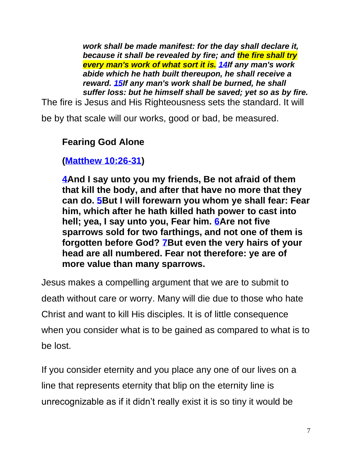*work shall be made manifest: for the day shall declare it, because it shall be revealed by fire; and the fire shall try every man's work of what sort it is. [14I](https://biblehub.com/1_corinthians/3-14.htm)f any man's work abide which he hath built thereupon, he shall receive a reward. [15I](https://biblehub.com/1_corinthians/3-15.htm)f any man's work shall be burned, he shall suffer loss: but he himself shall be saved; yet so as by fire.*

The fire is Jesus and His Righteousness sets the standard. It will

be by that scale will our works, good or bad, be measured.

#### **Fearing God Alone**

#### **[\(Matthew 10:26-31\)](https://biblehub.com/kjv/matthew/10.htm#26)**

**[4A](https://biblehub.com/luke/12-4.htm)nd I say unto you my friends, Be not afraid of them that kill the body, and after that have no more that they can do. [5B](https://biblehub.com/luke/12-5.htm)ut I will forewarn you whom ye shall fear: Fear him, which after he hath killed hath power to cast into hell; yea, I say unto you, Fear him. [6A](https://biblehub.com/luke/12-6.htm)re not five sparrows sold for two farthings, and not one of them is forgotten before God? [7B](https://biblehub.com/luke/12-7.htm)ut even the very hairs of your head are all numbered. Fear not therefore: ye are of more value than many sparrows.**

Jesus makes a compelling argument that we are to submit to death without care or worry. Many will die due to those who hate Christ and want to kill His disciples. It is of little consequence when you consider what is to be gained as compared to what is to be lost.

If you consider eternity and you place any one of our lives on a line that represents eternity that blip on the eternity line is unrecognizable as if it didn't really exist it is so tiny it would be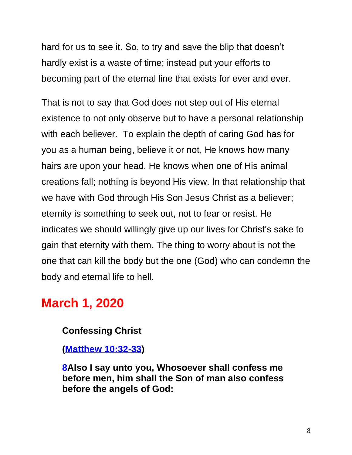hard for us to see it. So, to try and save the blip that doesn't hardly exist is a waste of time; instead put your efforts to becoming part of the eternal line that exists for ever and ever.

That is not to say that God does not step out of His eternal existence to not only observe but to have a personal relationship with each believer. To explain the depth of caring God has for you as a human being, believe it or not, He knows how many hairs are upon your head. He knows when one of His animal creations fall; nothing is beyond His view. In that relationship that we have with God through His Son Jesus Christ as a believer; eternity is something to seek out, not to fear or resist. He indicates we should willingly give up our lives for Christ's sake to gain that eternity with them. The thing to worry about is not the one that can kill the body but the one (God) who can condemn the body and eternal life to hell.

# **March 1, 2020**

#### **Confessing Christ**

**[\(Matthew 10:32-33\)](https://biblehub.com/kjv/matthew/10.htm#32)**

**[8A](https://biblehub.com/luke/12-8.htm)lso I say unto you, Whosoever shall confess me before men, him shall the Son of man also confess before the angels of God:**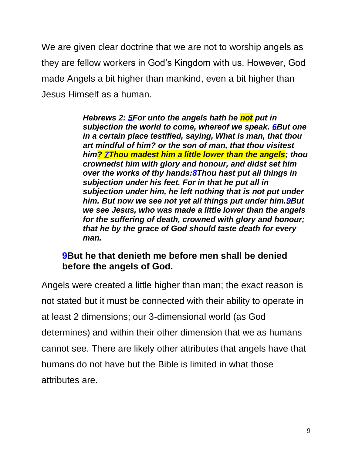We are given clear doctrine that we are not to worship angels as they are fellow workers in God's Kingdom with us. However, God made Angels a bit higher than mankind, even a bit higher than Jesus Himself as a human.

> *Hebrews 2: [5F](https://biblehub.com/hebrews/2-5.htm)or unto the angels hath he not put in subjection the world to come, whereof we speak. [6B](https://biblehub.com/hebrews/2-6.htm)ut one in a certain place testified, saying, What is man, that thou art mindful of him? or the son of man, that thou visitest him? [7T](https://biblehub.com/hebrews/2-7.htm)hou madest him a little lower than the angels; thou crownedst him with glory and honour, and didst set him over the works of thy hands[:8T](https://biblehub.com/hebrews/2-8.htm)hou hast put all things in subjection under his feet. For in that he put all in subjection under him, he left nothing that is not put under him. But now we see not yet all things put under him[.9B](https://biblehub.com/hebrews/2-9.htm)ut we see Jesus, who was made a little lower than the angels for the suffering of death, crowned with glory and honour; that he by the grace of God should taste death for every man.*

#### **[9B](https://biblehub.com/luke/12-9.htm)ut he that denieth me before men shall be denied before the angels of God.**

Angels were created a little higher than man; the exact reason is not stated but it must be connected with their ability to operate in at least 2 dimensions; our 3-dimensional world (as God determines) and within their other dimension that we as humans cannot see. There are likely other attributes that angels have that humans do not have but the Bible is limited in what those attributes are.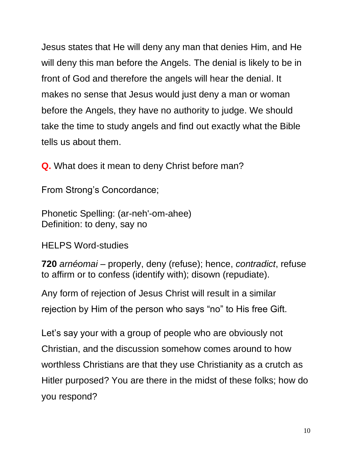Jesus states that He will deny any man that denies Him, and He will deny this man before the Angels. The denial is likely to be in front of God and therefore the angels will hear the denial. It makes no sense that Jesus would just deny a man or woman before the Angels, they have no authority to judge. We should take the time to study angels and find out exactly what the Bible tells us about them.

**Q.** What does it mean to deny Christ before man?

From Strong's Concordance;

Phonetic Spelling: (ar-neh'-om-ahee) Definition: to deny, say no

HELPS Word-studies

**720** *arnéomai* – properly, deny (refuse); hence, *contradict*, refuse to affirm or to confess (identify with); disown (repudiate).

Any form of rejection of Jesus Christ will result in a similar rejection by Him of the person who says "no" to His free Gift.

Let's say your with a group of people who are obviously not Christian, and the discussion somehow comes around to how worthless Christians are that they use Christianity as a crutch as Hitler purposed? You are there in the midst of these folks; how do you respond?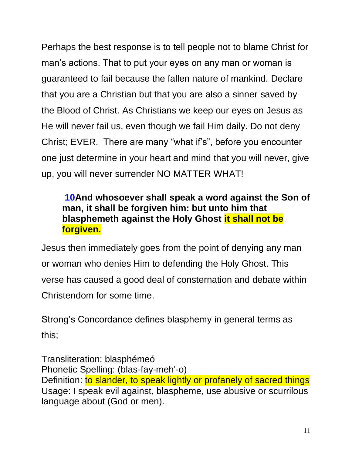Perhaps the best response is to tell people not to blame Christ for man's actions. That to put your eyes on any man or woman is guaranteed to fail because the fallen nature of mankind. Declare that you are a Christian but that you are also a sinner saved by the Blood of Christ. As Christians we keep our eyes on Jesus as He will never fail us, even though we fail Him daily. Do not deny Christ; EVER. There are many "what if's", before you encounter one just determine in your heart and mind that you will never, give up, you will never surrender NO MATTER WHAT!

#### **[10A](https://biblehub.com/luke/12-10.htm)nd whosoever shall speak a word against the Son of man, it shall be forgiven him: but unto him that blasphemeth against the Holy Ghost it shall not be forgiven.**

Jesus then immediately goes from the point of denying any man or woman who denies Him to defending the Holy Ghost. This verse has caused a good deal of consternation and debate within Christendom for some time.

Strong's Concordance defines blasphemy in general terms as this;

Transliteration: blasphémeó Phonetic Spelling: (blas-fay-meh'-o) Definition: to slander, to speak lightly or profanely of sacred things Usage: I speak evil against, blaspheme, use abusive or scurrilous language about (God or men).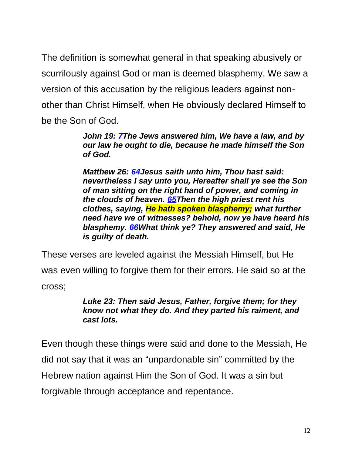The definition is somewhat general in that speaking abusively or scurrilously against God or man is deemed blasphemy. We saw a version of this accusation by the religious leaders against nonother than Christ Himself, when He obviously declared Himself to be the Son of God.

> *John 19: [7T](https://biblehub.com/john/19-7.htm)he Jews answered him, We have a law, and by our law he ought to die, because he made himself the Son of God.*

*Matthew 26: [64J](https://biblehub.com/matthew/26-64.htm)esus saith unto him, Thou hast said: nevertheless I say unto you, Hereafter shall ye see the Son of man sitting on the right hand of power, and coming in the clouds of heaven. [65T](https://biblehub.com/matthew/26-65.htm)hen the high priest rent his clothes, saying, He hath spoken blasphemy; what further need have we of witnesses? behold, now ye have heard his blasphemy. [66W](https://biblehub.com/matthew/26-66.htm)hat think ye? They answered and said, He is guilty of death.*

These verses are leveled against the Messiah Himself, but He was even willing to forgive them for their errors. He said so at the cross;

#### *Luke 23: Then said Jesus, Father, forgive them; for they know not what they do. And they parted his raiment, and cast lots.*

Even though these things were said and done to the Messiah, He did not say that it was an "unpardonable sin" committed by the Hebrew nation against Him the Son of God. It was a sin but forgivable through acceptance and repentance.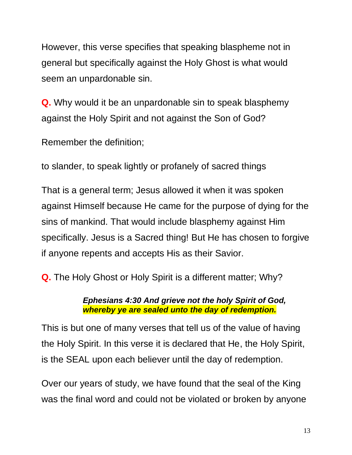However, this verse specifies that speaking blaspheme not in general but specifically against the Holy Ghost is what would seem an unpardonable sin.

**Q.** Why would it be an unpardonable sin to speak blasphemy against the Holy Spirit and not against the Son of God?

Remember the definition;

to slander, to speak lightly or profanely of sacred things

That is a general term; Jesus allowed it when it was spoken against Himself because He came for the purpose of dying for the sins of mankind. That would include blasphemy against Him specifically. Jesus is a Sacred thing! But He has chosen to forgive if anyone repents and accepts His as their Savior.

**Q.** The Holy Ghost or Holy Spirit is a different matter; Why?

#### *Ephesians 4:30 And grieve not the holy Spirit of God, whereby ye are sealed unto the day of redemption.*

This is but one of many verses that tell us of the value of having the Holy Spirit. In this verse it is declared that He, the Holy Spirit, is the SEAL upon each believer until the day of redemption.

Over our years of study, we have found that the seal of the King was the final word and could not be violated or broken by anyone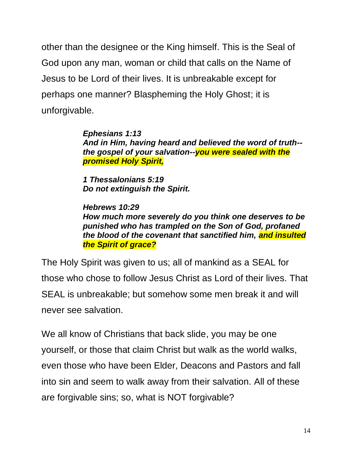other than the designee or the King himself. This is the Seal of God upon any man, woman or child that calls on the Name of Jesus to be Lord of their lives. It is unbreakable except for perhaps one manner? Blaspheming the Holy Ghost; it is unforgivable.

> *[Ephesians 1:13](https://biblehub.com/ephesians/1-13.htm) And in Him, having heard and believed the word of truth- the gospel of your salvation--you were sealed with the promised Holy Spirit,*

*[1 Thessalonians 5:19](https://biblehub.com/1_thessalonians/5-19.htm) Do not extinguish the Spirit.*

*[Hebrews 10:29](https://biblehub.com/hebrews/10-29.htm) How much more severely do you think one deserves to be punished who has trampled on the Son of God, profaned the blood of the covenant that sanctified him, and insulted the Spirit of grace?*

The Holy Spirit was given to us; all of mankind as a SEAL for those who chose to follow Jesus Christ as Lord of their lives. That SEAL is unbreakable; but somehow some men break it and will never see salvation.

We all know of Christians that back slide, you may be one yourself, or those that claim Christ but walk as the world walks, even those who have been Elder, Deacons and Pastors and fall into sin and seem to walk away from their salvation. All of these are forgivable sins; so, what is NOT forgivable?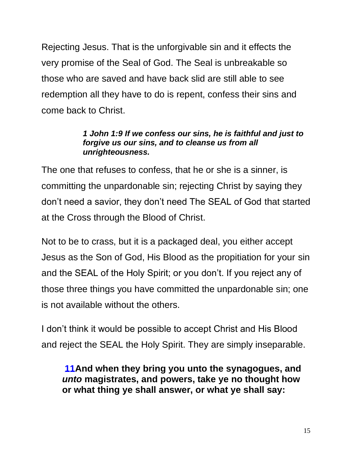Rejecting Jesus. That is the unforgivable sin and it effects the very promise of the Seal of God. The Seal is unbreakable so those who are saved and have back slid are still able to see redemption all they have to do is repent, confess their sins and come back to Christ.

#### *1 John 1:9 If we confess our sins, he is faithful and just to forgive us our sins, and to cleanse us from all unrighteousness.*

The one that refuses to confess, that he or she is a sinner, is committing the unpardonable sin; rejecting Christ by saying they don't need a savior, they don't need The SEAL of God that started at the Cross through the Blood of Christ.

Not to be to crass, but it is a packaged deal, you either accept Jesus as the Son of God, His Blood as the propitiation for your sin and the SEAL of the Holy Spirit; or you don't. If you reject any of those three things you have committed the unpardonable sin; one is not available without the others.

I don't think it would be possible to accept Christ and His Blood and reject the SEAL the Holy Spirit. They are simply inseparable.

**[11A](https://biblehub.com/luke/12-11.htm)nd when they bring you unto the synagogues, and**  *unto* **magistrates, and powers, take ye no thought how or what thing ye shall answer, or what ye shall say:**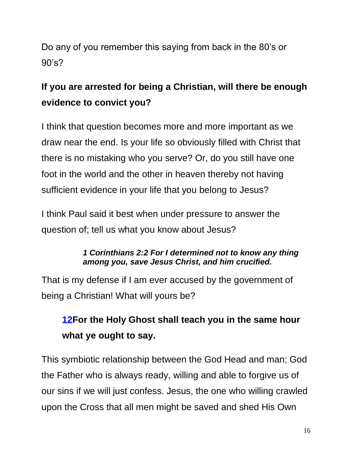Do any of you remember this saying from back in the 80's or 90's?

# **If you are arrested for being a Christian, will there be enough evidence to convict you?**

I think that question becomes more and more important as we draw near the end. Is your life so obviously filled with Christ that there is no mistaking who you serve? Or, do you still have one foot in the world and the other in heaven thereby not having sufficient evidence in your life that you belong to Jesus?

I think Paul said it best when under pressure to answer the question of; tell us what you know about Jesus?

#### *1 Corinthians 2:2 For I determined not to know any thing among you, save Jesus Christ, and him crucified.*

That is my defense if I am ever accused by the government of being a Christian! What will yours be?

# **[12F](https://biblehub.com/luke/12-12.htm)or the Holy Ghost shall teach you in the same hour what ye ought to say.**

This symbiotic relationship between the God Head and man; God the Father who is always ready, willing and able to forgive us of our sins if we will just confess. Jesus, the one who willing crawled upon the Cross that all men might be saved and shed His Own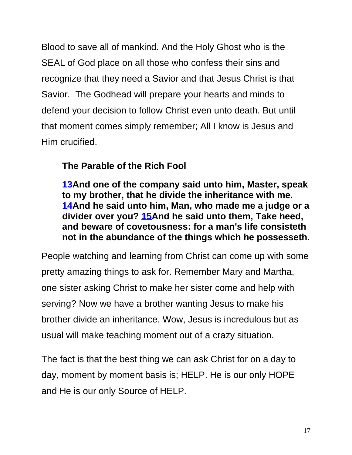Blood to save all of mankind. And the Holy Ghost who is the SEAL of God place on all those who confess their sins and recognize that they need a Savior and that Jesus Christ is that Savior. The Godhead will prepare your hearts and minds to defend your decision to follow Christ even unto death. But until that moment comes simply remember; All I know is Jesus and Him crucified.

#### **The Parable of the Rich Fool**

**[13A](https://biblehub.com/luke/12-13.htm)nd one of the company said unto him, Master, speak to my brother, that he divide the inheritance with me. [14A](https://biblehub.com/luke/12-14.htm)nd he said unto him, Man, who made me a judge or a divider over you? [15A](https://biblehub.com/luke/12-15.htm)nd he said unto them, Take heed, and beware of covetousness: for a man's life consisteth not in the abundance of the things which he possesseth.** 

People watching and learning from Christ can come up with some pretty amazing things to ask for. Remember Mary and Martha, one sister asking Christ to make her sister come and help with serving? Now we have a brother wanting Jesus to make his brother divide an inheritance. Wow, Jesus is incredulous but as usual will make teaching moment out of a crazy situation.

The fact is that the best thing we can ask Christ for on a day to day, moment by moment basis is; HELP. He is our only HOPE and He is our only Source of HELP.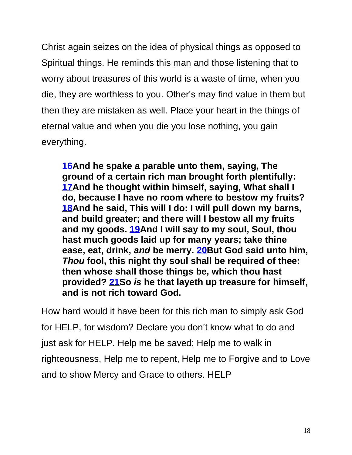Christ again seizes on the idea of physical things as opposed to Spiritual things. He reminds this man and those listening that to worry about treasures of this world is a waste of time, when you die, they are worthless to you. Other's may find value in them but then they are mistaken as well. Place your heart in the things of eternal value and when you die you lose nothing, you gain everything.

**[16A](https://biblehub.com/luke/12-16.htm)nd he spake a parable unto them, saying, The ground of a certain rich man brought forth plentifully: [17A](https://biblehub.com/luke/12-17.htm)nd he thought within himself, saying, What shall I do, because I have no room where to bestow my fruits? [18A](https://biblehub.com/luke/12-18.htm)nd he said, This will I do: I will pull down my barns, and build greater; and there will I bestow all my fruits and my goods. [19A](https://biblehub.com/luke/12-19.htm)nd I will say to my soul, Soul, thou hast much goods laid up for many years; take thine ease, eat, drink,** *and* **be merry. [20B](https://biblehub.com/luke/12-20.htm)ut God said unto him,**  *Thou* **fool, this night thy soul shall be required of thee: then whose shall those things be, which thou hast provided? [21S](https://biblehub.com/luke/12-21.htm)o** *is* **he that layeth up treasure for himself, and is not rich toward God.**

How hard would it have been for this rich man to simply ask God for HELP, for wisdom? Declare you don't know what to do and just ask for HELP. Help me be saved; Help me to walk in righteousness, Help me to repent, Help me to Forgive and to Love and to show Mercy and Grace to others. HELP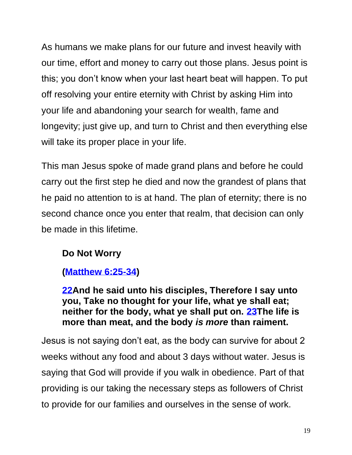As humans we make plans for our future and invest heavily with our time, effort and money to carry out those plans. Jesus point is this; you don't know when your last heart beat will happen. To put off resolving your entire eternity with Christ by asking Him into your life and abandoning your search for wealth, fame and longevity; just give up, and turn to Christ and then everything else will take its proper place in your life.

This man Jesus spoke of made grand plans and before he could carry out the first step he died and now the grandest of plans that he paid no attention to is at hand. The plan of eternity; there is no second chance once you enter that realm, that decision can only be made in this lifetime.

#### **Do Not Worry**

#### **[\(Matthew 6:25-34\)](https://biblehub.com/kjv/matthew/6.htm#25)**

**[22A](https://biblehub.com/luke/12-22.htm)nd he said unto his disciples, Therefore I say unto you, Take no thought for your life, what ye shall eat; neither for the body, what ye shall put on. [23T](https://biblehub.com/luke/12-23.htm)he life is more than meat, and the body** *is more* **than raiment.** 

Jesus is not saying don't eat, as the body can survive for about 2 weeks without any food and about 3 days without water. Jesus is saying that God will provide if you walk in obedience. Part of that providing is our taking the necessary steps as followers of Christ to provide for our families and ourselves in the sense of work.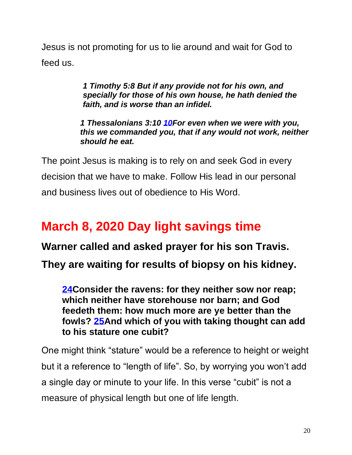Jesus is not promoting for us to lie around and wait for God to feed us.

> *1 Timothy 5:8 But if any provide not for his own, and specially for those of his own house, he hath denied the faith, and is worse than an infidel.*

*1 Thessalonians 3:10 [10F](https://biblehub.com/2_thessalonians/3-10.htm)or even when we were with you, this we commanded you, that if any would not work, neither should he eat.*

The point Jesus is making is to rely on and seek God in every decision that we have to make. Follow His lead in our personal and business lives out of obedience to His Word.

# **March 8, 2020 Day light savings time**

**Warner called and asked prayer for his son Travis.** 

**They are waiting for results of biopsy on his kidney.** 

**[24C](https://biblehub.com/luke/12-24.htm)onsider the ravens: for they neither sow nor reap; which neither have storehouse nor barn; and God feedeth them: how much more are ye better than the fowls? [25A](https://biblehub.com/luke/12-25.htm)nd which of you with taking thought can add to his stature one cubit?** 

One might think "stature" would be a reference to height or weight but it a reference to "length of life". So, by worrying you won't add a single day or minute to your life. In this verse "cubit" is not a measure of physical length but one of life length.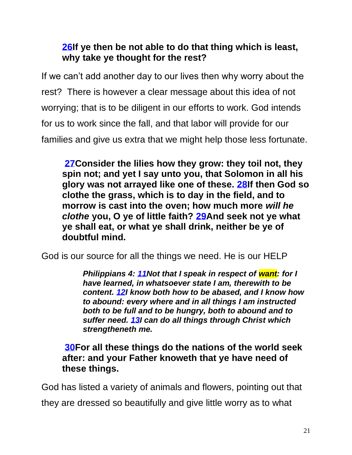#### **[26I](https://biblehub.com/luke/12-26.htm)f ye then be not able to do that thing which is least, why take ye thought for the rest?**

If we can't add another day to our lives then why worry about the rest? There is however a clear message about this idea of not worrying; that is to be diligent in our efforts to work. God intends for us to work since the fall, and that labor will provide for our families and give us extra that we might help those less fortunate.

**[27C](https://biblehub.com/luke/12-27.htm)onsider the lilies how they grow: they toil not, they spin not; and yet I say unto you, that Solomon in all his glory was not arrayed like one of these. [28I](https://biblehub.com/luke/12-28.htm)f then God so clothe the grass, which is to day in the field, and to morrow is cast into the oven; how much more** *will he clothe* **you, O ye of little faith? [29A](https://biblehub.com/luke/12-29.htm)nd seek not ye what ye shall eat, or what ye shall drink, neither be ye of doubtful mind.**

God is our source for all the things we need. He is our HELP

*Philippians 4: [11N](https://biblehub.com/philippians/4-11.htm)ot that I speak in respect of want: for I have learned, in whatsoever state I am, therewith to be content. [12I](https://biblehub.com/philippians/4-12.htm) know both how to be abased, and I know how to abound: every where and in all things I am instructed both to be full and to be hungry, both to abound and to suffer need. [13I](https://biblehub.com/philippians/4-13.htm) can do all things through Christ which strengtheneth me.* 

**[30F](https://biblehub.com/luke/12-30.htm)or all these things do the nations of the world seek after: and your Father knoweth that ye have need of these things.**

God has listed a variety of animals and flowers, pointing out that they are dressed so beautifully and give little worry as to what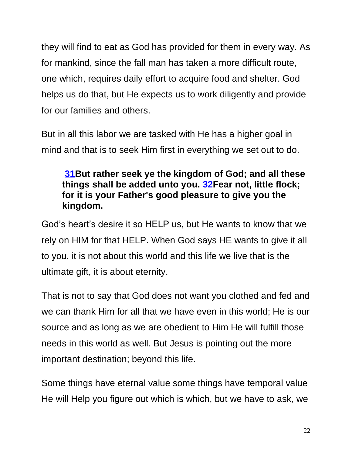they will find to eat as God has provided for them in every way. As for mankind, since the fall man has taken a more difficult route, one which, requires daily effort to acquire food and shelter. God helps us do that, but He expects us to work diligently and provide for our families and others.

But in all this labor we are tasked with He has a higher goal in mind and that is to seek Him first in everything we set out to do.

#### **[31B](https://biblehub.com/luke/12-31.htm)ut rather seek ye the kingdom of God; and all these things shall be added unto you. [32F](https://biblehub.com/luke/12-32.htm)ear not, little flock; for it is your Father's good pleasure to give you the kingdom.**

God's heart's desire it so HELP us, but He wants to know that we rely on HIM for that HELP. When God says HE wants to give it all to you, it is not about this world and this life we live that is the ultimate gift, it is about eternity.

That is not to say that God does not want you clothed and fed and we can thank Him for all that we have even in this world; He is our source and as long as we are obedient to Him He will fulfill those needs in this world as well. But Jesus is pointing out the more important destination; beyond this life.

Some things have eternal value some things have temporal value He will Help you figure out which is which, but we have to ask, we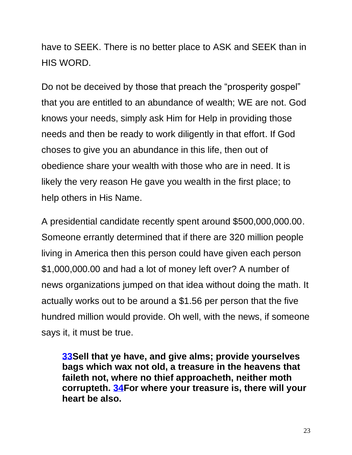have to SEEK. There is no better place to ASK and SEEK than in HIS WORD.

Do not be deceived by those that preach the "prosperity gospel" that you are entitled to an abundance of wealth; WE are not. God knows your needs, simply ask Him for Help in providing those needs and then be ready to work diligently in that effort. If God choses to give you an abundance in this life, then out of obedience share your wealth with those who are in need. It is likely the very reason He gave you wealth in the first place; to help others in His Name.

A presidential candidate recently spent around \$500,000,000.00. Someone errantly determined that if there are 320 million people living in America then this person could have given each person \$1,000,000.00 and had a lot of money left over? A number of news organizations jumped on that idea without doing the math. It actually works out to be around a \$1.56 per person that the five hundred million would provide. Oh well, with the news, if someone says it, it must be true.

**[33S](https://biblehub.com/luke/12-33.htm)ell that ye have, and give alms; provide yourselves bags which wax not old, a treasure in the heavens that faileth not, where no thief approacheth, neither moth corrupteth. [34F](https://biblehub.com/luke/12-34.htm)or where your treasure is, there will your heart be also.**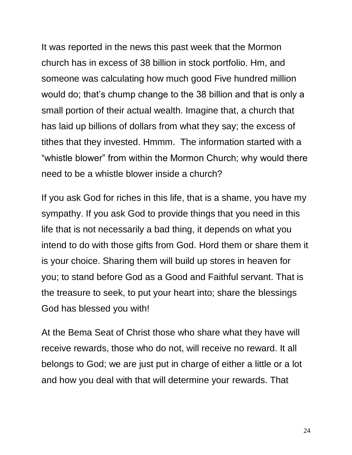It was reported in the news this past week that the Mormon church has in excess of 38 billion in stock portfolio. Hm, and someone was calculating how much good Five hundred million would do; that's chump change to the 38 billion and that is only a small portion of their actual wealth. Imagine that, a church that has laid up billions of dollars from what they say; the excess of tithes that they invested. Hmmm. The information started with a "whistle blower" from within the Mormon Church; why would there need to be a whistle blower inside a church?

If you ask God for riches in this life, that is a shame, you have my sympathy. If you ask God to provide things that you need in this life that is not necessarily a bad thing, it depends on what you intend to do with those gifts from God. Hord them or share them it is your choice. Sharing them will build up stores in heaven for you; to stand before God as a Good and Faithful servant. That is the treasure to seek, to put your heart into; share the blessings God has blessed you with!

At the Bema Seat of Christ those who share what they have will receive rewards, those who do not, will receive no reward. It all belongs to God; we are just put in charge of either a little or a lot and how you deal with that will determine your rewards. That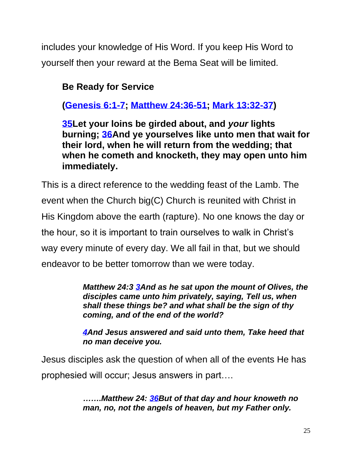includes your knowledge of His Word. If you keep His Word to yourself then your reward at the Bema Seat will be limited.

## **Be Ready for Service**

**[\(Genesis 6:1-7;](https://biblehub.com/kjv/genesis/6.htm) [Matthew 24:36-51;](https://biblehub.com/kjv/matthew/24.htm#36) [Mark 13:32-37\)](https://biblehub.com/kjv/mark/13.htm#32)**

**[35L](https://biblehub.com/luke/12-35.htm)et your loins be girded about, and** *your* **lights burning; [36A](https://biblehub.com/luke/12-36.htm)nd ye yourselves like unto men that wait for their lord, when he will return from the wedding; that when he cometh and knocketh, they may open unto him immediately.**

This is a direct reference to the wedding feast of the Lamb. The event when the Church big(C) Church is reunited with Christ in His Kingdom above the earth (rapture). No one knows the day or the hour, so it is important to train ourselves to walk in Christ's way every minute of every day. We all fail in that, but we should endeavor to be better tomorrow than we were today.

> *Matthew 24:3 [3A](https://biblehub.com/matthew/24-3.htm)nd as he sat upon the mount of Olives, the disciples came unto him privately, saying, Tell us, when shall these things be? and what shall be the sign of thy coming, and of the end of the world?*

*[4A](https://biblehub.com/matthew/24-4.htm)nd Jesus answered and said unto them, Take heed that no man deceive you.*

Jesus disciples ask the question of when all of the events He has prophesied will occur; Jesus answers in part….

> *…….Matthew 24: [36B](https://biblehub.com/matthew/24-36.htm)ut of that day and hour knoweth no man, no, not the angels of heaven, but my Father only.*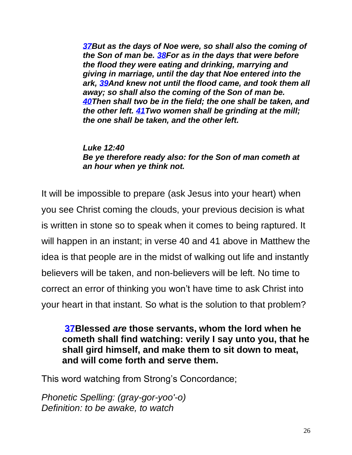*[37B](https://biblehub.com/matthew/24-37.htm)ut as the days of Noe were, so shall also the coming of the Son of man be. [38F](https://biblehub.com/matthew/24-38.htm)or as in the days that were before the flood they were eating and drinking, marrying and giving in marriage, until the day that Noe entered into the ark, [39A](https://biblehub.com/matthew/24-39.htm)nd knew not until the flood came, and took them all away; so shall also the coming of the Son of man be. [40T](https://biblehub.com/matthew/24-40.htm)hen shall two be in the field; the one shall be taken, and the other left. [41T](https://biblehub.com/matthew/24-41.htm)wo women shall be grinding at the mill; the one shall be taken, and the other left.*

*[Luke 12:40](https://biblehub.com/luke/12-40.htm) Be ye therefore ready also: for the Son of man cometh at an hour when ye think not.*

It will be impossible to prepare (ask Jesus into your heart) when you see Christ coming the clouds, your previous decision is what is written in stone so to speak when it comes to being raptured. It will happen in an instant; in verse 40 and 41 above in Matthew the idea is that people are in the midst of walking out life and instantly believers will be taken, and non-believers will be left. No time to correct an error of thinking you won't have time to ask Christ into your heart in that instant. So what is the solution to that problem?

#### **[37B](https://biblehub.com/luke/12-37.htm)lessed** *are* **those servants, whom the lord when he cometh shall find watching: verily I say unto you, that he shall gird himself, and make them to sit down to meat, and will come forth and serve them.**

This word watching from Strong's Concordance;

*Phonetic Spelling: (gray-gor-yoo'-o) Definition: to be awake, to watch*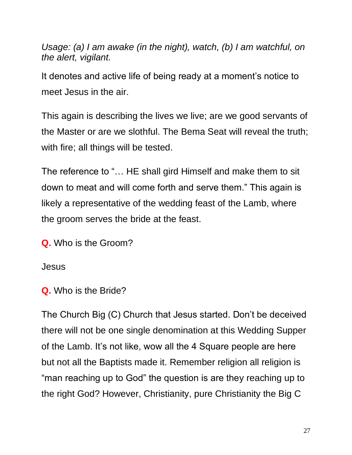*Usage: (a) I am awake (in the night), watch, (b) I am watchful, on the alert, vigilant.*

It denotes and active life of being ready at a moment's notice to meet Jesus in the air.

This again is describing the lives we live; are we good servants of the Master or are we slothful. The Bema Seat will reveal the truth; with fire; all things will be tested.

The reference to "… HE shall gird Himself and make them to sit down to meat and will come forth and serve them." This again is likely a representative of the wedding feast of the Lamb, where the groom serves the bride at the feast.

**Q.** Who is the Groom?

Jesus

**Q.** Who is the Bride?

The Church Big (C) Church that Jesus started. Don't be deceived there will not be one single denomination at this Wedding Supper of the Lamb. It's not like, wow all the 4 Square people are here but not all the Baptists made it. Remember religion all religion is "man reaching up to God" the question is are they reaching up to the right God? However, Christianity, pure Christianity the Big C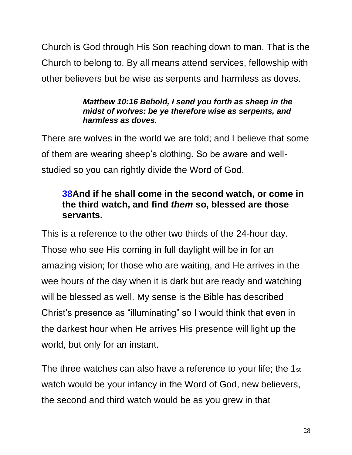Church is God through His Son reaching down to man. That is the Church to belong to. By all means attend services, fellowship with other believers but be wise as serpents and harmless as doves.

#### *Matthew 10:16 Behold, I send you forth as sheep in the midst of wolves: be ye therefore wise as serpents, and harmless as doves.*

There are wolves in the world we are told; and I believe that some of them are wearing sheep's clothing. So be aware and wellstudied so you can rightly divide the Word of God.

#### **[38A](https://biblehub.com/luke/12-38.htm)nd if he shall come in the second watch, or come in the third watch, and find** *them* **so, blessed are those servants.**

This is a reference to the other two thirds of the 24-hour day. Those who see His coming in full daylight will be in for an amazing vision; for those who are waiting, and He arrives in the wee hours of the day when it is dark but are ready and watching will be blessed as well. My sense is the Bible has described Christ's presence as "illuminating" so I would think that even in the darkest hour when He arrives His presence will light up the world, but only for an instant.

The three watches can also have a reference to your life; the 1st watch would be your infancy in the Word of God, new believers, the second and third watch would be as you grew in that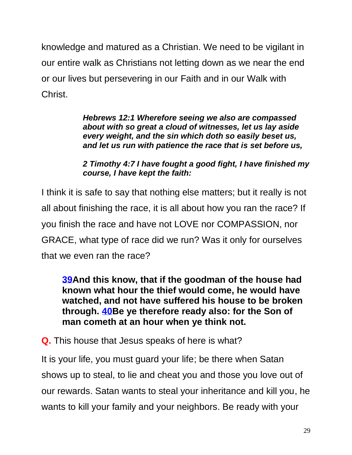knowledge and matured as a Christian. We need to be vigilant in our entire walk as Christians not letting down as we near the end or our lives but persevering in our Faith and in our Walk with Christ.

> *Hebrews 12:1 Wherefore seeing we also are compassed about with so great a cloud of witnesses, let us lay aside every weight, and the sin which doth so easily beset us, and let us run with patience the race that is set before us,*

*2 Timothy 4:7 I have fought a good fight, I have finished my course, I have kept the faith:*

I think it is safe to say that nothing else matters; but it really is not all about finishing the race, it is all about how you ran the race? If you finish the race and have not LOVE nor COMPASSION, nor GRACE, what type of race did we run? Was it only for ourselves that we even ran the race?

**[39A](https://biblehub.com/luke/12-39.htm)nd this know, that if the goodman of the house had known what hour the thief would come, he would have watched, and not have suffered his house to be broken through. [40B](https://biblehub.com/luke/12-40.htm)e ye therefore ready also: for the Son of man cometh at an hour when ye think not.**

**Q.** This house that Jesus speaks of here is what?

It is your life, you must guard your life; be there when Satan shows up to steal, to lie and cheat you and those you love out of our rewards. Satan wants to steal your inheritance and kill you, he wants to kill your family and your neighbors. Be ready with your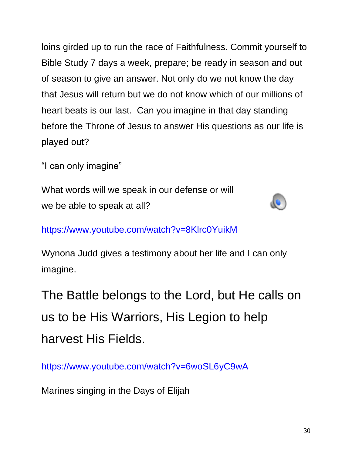loins girded up to run the race of Faithfulness. Commit yourself to Bible Study 7 days a week, prepare; be ready in season and out of season to give an answer. Not only do we not know the day that Jesus will return but we do not know which of our millions of heart beats is our last. Can you imagine in that day standing before the Throne of Jesus to answer His questions as our life is played out?

"I can only imagine"

What words will we speak in our defense or will we be able to speak at all?



<https://www.youtube.com/watch?v=8Klrc0YuikM>

Wynona Judd gives a testimony about her life and I can only imagine.

The Battle belongs to the Lord, but He calls on us to be His Warriors, His Legion to help harvest His Fields.

<https://www.youtube.com/watch?v=6woSL6yC9wA>

Marines singing in the Days of Elijah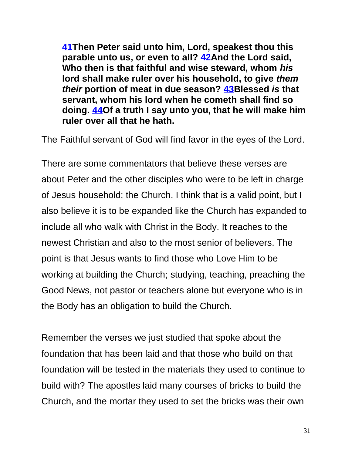**[41T](https://biblehub.com/luke/12-41.htm)hen Peter said unto him, Lord, speakest thou this parable unto us, or even to all? [42A](https://biblehub.com/luke/12-42.htm)nd the Lord said, Who then is that faithful and wise steward, whom** *his* **lord shall make ruler over his household, to give** *them their* **portion of meat in due season? [43B](https://biblehub.com/luke/12-43.htm)lessed** *is* **that servant, whom his lord when he cometh shall find so doing. [44O](https://biblehub.com/luke/12-44.htm)f a truth I say unto you, that he will make him ruler over all that he hath.**

The Faithful servant of God will find favor in the eyes of the Lord.

There are some commentators that believe these verses are about Peter and the other disciples who were to be left in charge of Jesus household; the Church. I think that is a valid point, but I also believe it is to be expanded like the Church has expanded to include all who walk with Christ in the Body. It reaches to the newest Christian and also to the most senior of believers. The point is that Jesus wants to find those who Love Him to be working at building the Church; studying, teaching, preaching the Good News, not pastor or teachers alone but everyone who is in the Body has an obligation to build the Church.

Remember the verses we just studied that spoke about the foundation that has been laid and that those who build on that foundation will be tested in the materials they used to continue to build with? The apostles laid many courses of bricks to build the Church, and the mortar they used to set the bricks was their own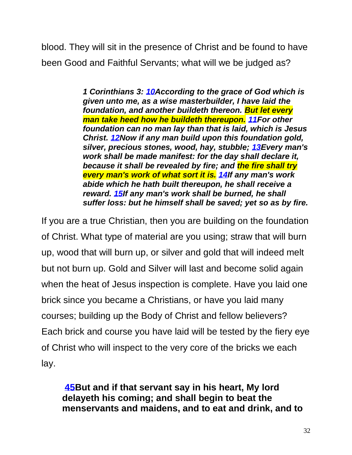blood. They will sit in the presence of Christ and be found to have been Good and Faithful Servants; what will we be judged as?

> *1 Corinthians 3: [10A](https://biblehub.com/1_corinthians/3-10.htm)ccording to the grace of God which is given unto me, as a wise masterbuilder, I have laid the foundation, and another buildeth thereon. But let every man take heed how he buildeth thereupon. [11F](https://biblehub.com/1_corinthians/3-11.htm)or other foundation can no man lay than that is laid, which is Jesus Christ. [12N](https://biblehub.com/1_corinthians/3-12.htm)ow if any man build upon this foundation gold, silver, precious stones, wood, hay, stubble; [13E](https://biblehub.com/1_corinthians/3-13.htm)very man's work shall be made manifest: for the day shall declare it, because it shall be revealed by fire; and the fire shall try every man's work of what sort it is. [14I](https://biblehub.com/1_corinthians/3-14.htm)f any man's work abide which he hath built thereupon, he shall receive a reward. [15I](https://biblehub.com/1_corinthians/3-15.htm)f any man's work shall be burned, he shall suffer loss: but he himself shall be saved; yet so as by fire.*

If you are a true Christian, then you are building on the foundation of Christ. What type of material are you using; straw that will burn up, wood that will burn up, or silver and gold that will indeed melt but not burn up. Gold and Silver will last and become solid again when the heat of Jesus inspection is complete. Have you laid one brick since you became a Christians, or have you laid many courses; building up the Body of Christ and fellow believers? Each brick and course you have laid will be tested by the fiery eye of Christ who will inspect to the very core of the bricks we each lay.

**[45B](https://biblehub.com/luke/12-45.htm)ut and if that servant say in his heart, My lord delayeth his coming; and shall begin to beat the menservants and maidens, and to eat and drink, and to**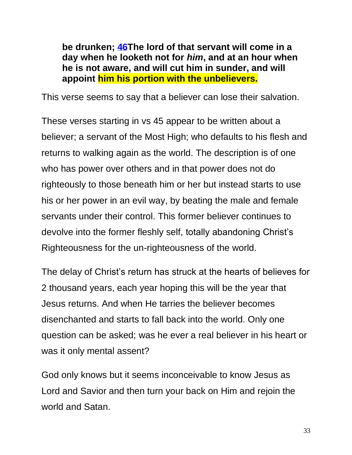**be drunken; [46T](https://biblehub.com/luke/12-46.htm)he lord of that servant will come in a day when he looketh not for** *him***, and at an hour when he is not aware, and will cut him in sunder, and will appoint him his portion with the unbelievers.**

This verse seems to say that a believer can lose their salvation.

These verses starting in vs 45 appear to be written about a believer; a servant of the Most High; who defaults to his flesh and returns to walking again as the world. The description is of one who has power over others and in that power does not do righteously to those beneath him or her but instead starts to use his or her power in an evil way, by beating the male and female servants under their control. This former believer continues to devolve into the former fleshly self, totally abandoning Christ's Righteousness for the un-righteousness of the world.

The delay of Christ's return has struck at the hearts of believes for 2 thousand years, each year hoping this will be the year that Jesus returns. And when He tarries the believer becomes disenchanted and starts to fall back into the world. Only one question can be asked; was he ever a real believer in his heart or was it only mental assent?

God only knows but it seems inconceivable to know Jesus as Lord and Savior and then turn your back on Him and rejoin the world and Satan.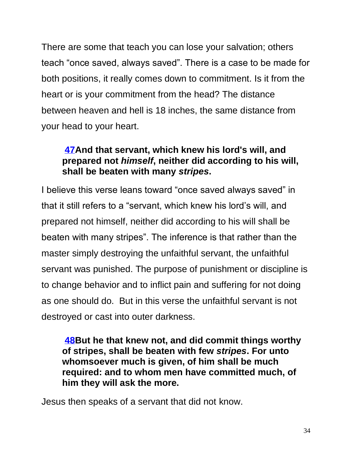There are some that teach you can lose your salvation; others teach "once saved, always saved". There is a case to be made for both positions, it really comes down to commitment. Is it from the heart or is your commitment from the head? The distance between heaven and hell is 18 inches, the same distance from your head to your heart.

#### **[47A](https://biblehub.com/luke/12-47.htm)nd that servant, which knew his lord's will, and prepared not** *himself***, neither did according to his will, shall be beaten with many** *stripes***.**

I believe this verse leans toward "once saved always saved" in that it still refers to a "servant, which knew his lord's will, and prepared not himself, neither did according to his will shall be beaten with many stripes". The inference is that rather than the master simply destroying the unfaithful servant, the unfaithful servant was punished. The purpose of punishment or discipline is to change behavior and to inflict pain and suffering for not doing as one should do. But in this verse the unfaithful servant is not destroyed or cast into outer darkness.

**[48B](https://biblehub.com/luke/12-48.htm)ut he that knew not, and did commit things worthy of stripes, shall be beaten with few** *stripes***. For unto whomsoever much is given, of him shall be much required: and to whom men have committed much, of him they will ask the more.**

Jesus then speaks of a servant that did not know.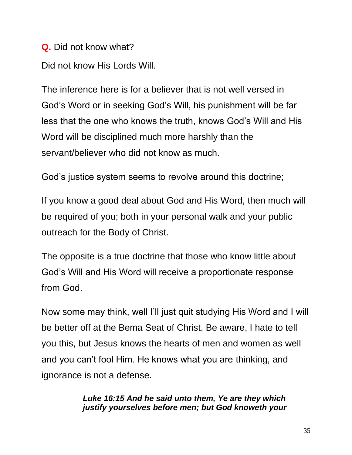**Q.** Did not know what?

Did not know His Lords Will.

The inference here is for a believer that is not well versed in God's Word or in seeking God's Will, his punishment will be far less that the one who knows the truth, knows God's Will and His Word will be disciplined much more harshly than the servant/believer who did not know as much.

God's justice system seems to revolve around this doctrine;

If you know a good deal about God and His Word, then much will be required of you; both in your personal walk and your public outreach for the Body of Christ.

The opposite is a true doctrine that those who know little about God's Will and His Word will receive a proportionate response from God.

Now some may think, well I'll just quit studying His Word and I will be better off at the Bema Seat of Christ. Be aware, I hate to tell you this, but Jesus knows the hearts of men and women as well and you can't fool Him. He knows what you are thinking, and ignorance is not a defense.

> *Luke 16:15 And he said unto them, Ye are they which justify yourselves before men; but God knoweth your*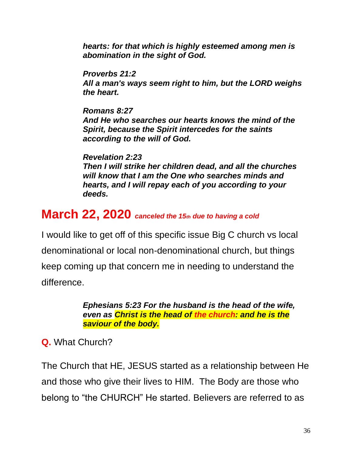*hearts: for that which is highly esteemed among men is abomination in the sight of God.*

*[Proverbs 21:2](https://biblehub.com/proverbs/21-2.htm) All a man's ways seem right to him, but the LORD weighs the heart.*

*[Romans 8:27](https://biblehub.com/romans/8-27.htm) And He who searches our hearts knows the mind of the Spirit, because the Spirit intercedes for the saints according to the will of God.*

*[Revelation 2:23](https://biblehub.com/revelation/2-23.htm) Then I will strike her children dead, and all the churches will know that I am the One who searches minds and hearts, and I will repay each of you according to your deeds.*

# **March 22, 2020** *canceled the 15th due to having a cold*

I would like to get off of this specific issue Big C church vs local denominational or local non-denominational church, but things keep coming up that concern me in needing to understand the difference.

> *Ephesians 5:23 For the husband is the head of the wife, even as Christ is the head of the church: and he is the saviour of the body.*

#### **Q.** What Church?

The Church that HE, JESUS started as a relationship between He and those who give their lives to HIM. The Body are those who belong to "the CHURCH" He started. Believers are referred to as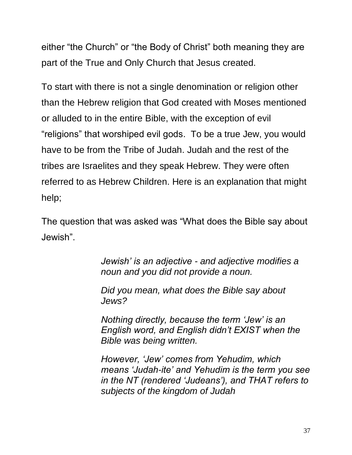either "the Church" or "the Body of Christ" both meaning they are part of the True and Only Church that Jesus created.

To start with there is not a single denomination or religion other than the Hebrew religion that God created with Moses mentioned or alluded to in the entire Bible, with the exception of evil "religions" that worshiped evil gods. To be a true Jew, you would have to be from the Tribe of Judah. Judah and the rest of the tribes are Israelites and they speak Hebrew. They were often referred to as Hebrew Children. Here is an explanation that might help;

The question that was asked was "What does the Bible say about Jewish".

> *Jewish' is an adjective - and adjective modifies a noun and you did not provide a noun.*

*Did you mean, what does the Bible say about Jews?*

*Nothing directly, because the term 'Jew' is an English word, and English didn't EXIST when the Bible was being written.*

*However, 'Jew' comes from Yehudim, which means 'Judah-ite' and Yehudim is the term you see in the NT (rendered 'Judeans'), and THAT refers to subjects of the kingdom of Judah*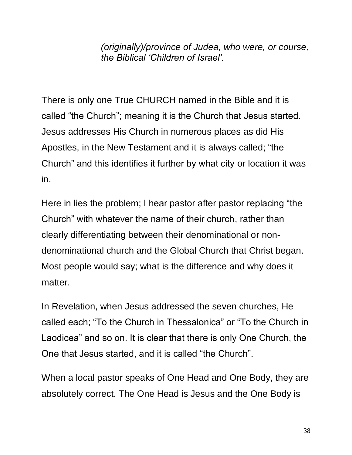*(originally)/province of Judea, who were, or course, the Biblical 'Children of Israel'.*

There is only one True CHURCH named in the Bible and it is called "the Church"; meaning it is the Church that Jesus started. Jesus addresses His Church in numerous places as did His Apostles, in the New Testament and it is always called; "the Church" and this identifies it further by what city or location it was in.

Here in lies the problem; I hear pastor after pastor replacing "the Church" with whatever the name of their church, rather than clearly differentiating between their denominational or nondenominational church and the Global Church that Christ began. Most people would say; what is the difference and why does it matter.

In Revelation, when Jesus addressed the seven churches, He called each; "To the Church in Thessalonica" or "To the Church in Laodicea" and so on. It is clear that there is only One Church, the One that Jesus started, and it is called "the Church".

When a local pastor speaks of One Head and One Body, they are absolutely correct. The One Head is Jesus and the One Body is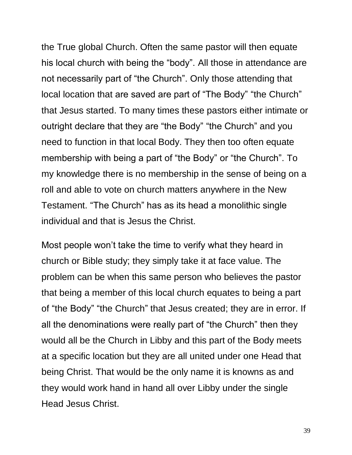the True global Church. Often the same pastor will then equate his local church with being the "body". All those in attendance are not necessarily part of "the Church". Only those attending that local location that are saved are part of "The Body" "the Church" that Jesus started. To many times these pastors either intimate or outright declare that they are "the Body" "the Church" and you need to function in that local Body. They then too often equate membership with being a part of "the Body" or "the Church". To my knowledge there is no membership in the sense of being on a roll and able to vote on church matters anywhere in the New Testament. "The Church" has as its head a monolithic single individual and that is Jesus the Christ.

Most people won't take the time to verify what they heard in church or Bible study; they simply take it at face value. The problem can be when this same person who believes the pastor that being a member of this local church equates to being a part of "the Body" "the Church" that Jesus created; they are in error. If all the denominations were really part of "the Church" then they would all be the Church in Libby and this part of the Body meets at a specific location but they are all united under one Head that being Christ. That would be the only name it is knowns as and they would work hand in hand all over Libby under the single Head Jesus Christ.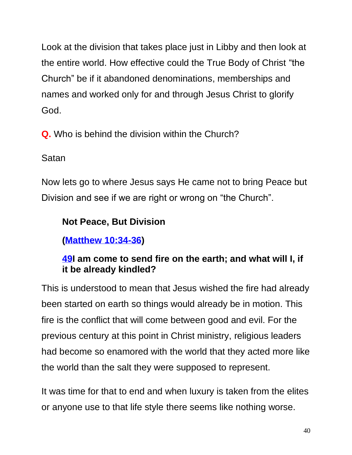Look at the division that takes place just in Libby and then look at the entire world. How effective could the True Body of Christ "the Church" be if it abandoned denominations, memberships and names and worked only for and through Jesus Christ to glorify God.

**Q.** Who is behind the division within the Church?

#### Satan

Now lets go to where Jesus says He came not to bring Peace but Division and see if we are right or wrong on "the Church".

# **Not Peace, But Division**

**[\(Matthew 10:34-36\)](https://biblehub.com/kjv/matthew/10.htm#34)**

### **[49I](https://biblehub.com/luke/12-49.htm) am come to send fire on the earth; and what will I, if it be already kindled?**

This is understood to mean that Jesus wished the fire had already been started on earth so things would already be in motion. This fire is the conflict that will come between good and evil. For the previous century at this point in Christ ministry, religious leaders had become so enamored with the world that they acted more like the world than the salt they were supposed to represent.

It was time for that to end and when luxury is taken from the elites or anyone use to that life style there seems like nothing worse.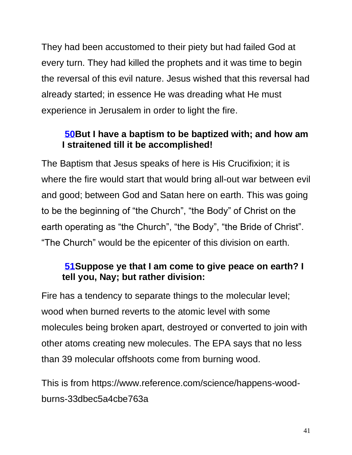They had been accustomed to their piety but had failed God at every turn. They had killed the prophets and it was time to begin the reversal of this evil nature. Jesus wished that this reversal had already started; in essence He was dreading what He must experience in Jerusalem in order to light the fire.

#### **[50B](https://biblehub.com/luke/12-50.htm)ut I have a baptism to be baptized with; and how am I straitened till it be accomplished!**

The Baptism that Jesus speaks of here is His Crucifixion; it is where the fire would start that would bring all-out war between evil and good; between God and Satan here on earth. This was going to be the beginning of "the Church", "the Body" of Christ on the earth operating as "the Church", "the Body", "the Bride of Christ". "The Church" would be the epicenter of this division on earth.

#### **[51S](https://biblehub.com/luke/12-51.htm)uppose ye that I am come to give peace on earth? I tell you, Nay; but rather division:**

Fire has a tendency to separate things to the molecular level; wood when burned reverts to the atomic level with some molecules being broken apart, destroyed or converted to join with other atoms creating new molecules. The EPA says that no less than 39 molecular offshoots come from burning wood.

This is from https://www.reference.com/science/happens-woodburns-33dbec5a4cbe763a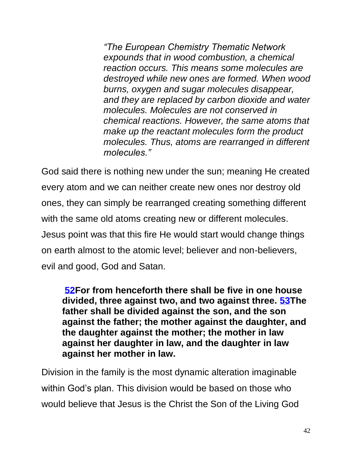*"The European Chemistry Thematic Network expounds that in wood combustion, a chemical reaction occurs. This means some molecules are destroyed while new ones are formed. When wood burns, oxygen and sugar molecules disappear, and they are replaced by carbon dioxide and water molecules. Molecules are not conserved in chemical reactions. However, the same atoms that make up the reactant molecules form the product molecules. Thus, atoms are rearranged in different molecules."*

God said there is nothing new under the sun; meaning He created every atom and we can neither create new ones nor destroy old ones, they can simply be rearranged creating something different with the same old atoms creating new or different molecules. Jesus point was that this fire He would start would change things on earth almost to the atomic level; believer and non-believers, evil and good, God and Satan.

**[52F](https://biblehub.com/luke/12-52.htm)or from henceforth there shall be five in one house divided, three against two, and two against three. [53T](https://biblehub.com/luke/12-53.htm)he father shall be divided against the son, and the son against the father; the mother against the daughter, and the daughter against the mother; the mother in law against her daughter in law, and the daughter in law against her mother in law.**

Division in the family is the most dynamic alteration imaginable within God's plan. This division would be based on those who would believe that Jesus is the Christ the Son of the Living God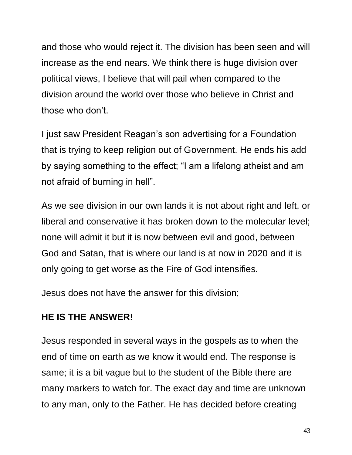and those who would reject it. The division has been seen and will increase as the end nears. We think there is huge division over political views, I believe that will pail when compared to the division around the world over those who believe in Christ and those who don't.

I just saw President Reagan's son advertising for a Foundation that is trying to keep religion out of Government. He ends his add by saying something to the effect; "I am a lifelong atheist and am not afraid of burning in hell".

As we see division in our own lands it is not about right and left, or liberal and conservative it has broken down to the molecular level; none will admit it but it is now between evil and good, between God and Satan, that is where our land is at now in 2020 and it is only going to get worse as the Fire of God intensifies.

Jesus does not have the answer for this division;

## **HE IS THE ANSWER!**

Jesus responded in several ways in the gospels as to when the end of time on earth as we know it would end. The response is same; it is a bit vague but to the student of the Bible there are many markers to watch for. The exact day and time are unknown to any man, only to the Father. He has decided before creating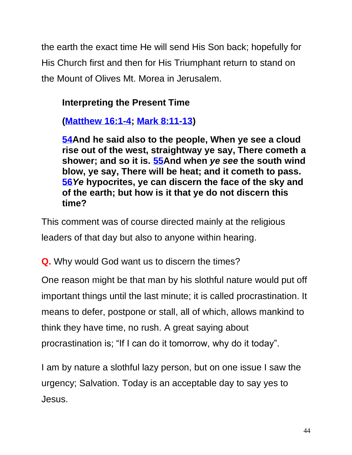the earth the exact time He will send His Son back; hopefully for His Church first and then for His Triumphant return to stand on the Mount of Olives Mt. Morea in Jerusalem.

## **Interpreting the Present Time**

**[\(Matthew 16:1-4;](https://biblehub.com/kjv/matthew/16.htm) [Mark 8:11-13\)](https://biblehub.com/kjv/mark/8.htm#11)**

**[54A](https://biblehub.com/luke/12-54.htm)nd he said also to the people, When ye see a cloud rise out of the west, straightway ye say, There cometh a shower; and so it is. [55A](https://biblehub.com/luke/12-55.htm)nd when** *ye see* **the south wind blow, ye say, There will be heat; and it cometh to pass. [56](https://biblehub.com/luke/12-56.htm)***Ye* **hypocrites, ye can discern the face of the sky and of the earth; but how is it that ye do not discern this time?**

This comment was of course directed mainly at the religious leaders of that day but also to anyone within hearing.

**Q.** Why would God want us to discern the times?

One reason might be that man by his slothful nature would put off important things until the last minute; it is called procrastination. It means to defer, postpone or stall, all of which, allows mankind to think they have time, no rush. A great saying about procrastination is; "If I can do it tomorrow, why do it today".

I am by nature a slothful lazy person, but on one issue I saw the urgency; Salvation. Today is an acceptable day to say yes to Jesus.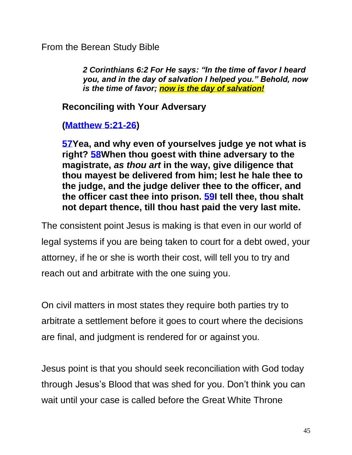From the Berean Study Bible

*2 Corinthians 6:2 For He says: "In the time of favor I heard you, and in the day of salvation I helped you." Behold, now is the time of favor; now is the day of salvation!*

**Reconciling with Your Adversary**

**[\(Matthew 5:21-26\)](https://biblehub.com/kjv/matthew/5.htm#21)**

**[57Y](https://biblehub.com/luke/12-57.htm)ea, and why even of yourselves judge ye not what is right? [58W](https://biblehub.com/luke/12-58.htm)hen thou goest with thine adversary to the magistrate,** *as thou art* **in the way, give diligence that thou mayest be delivered from him; lest he hale thee to the judge, and the judge deliver thee to the officer, and the officer cast thee into prison. [59I](https://biblehub.com/luke/12-59.htm) tell thee, thou shalt not depart thence, till thou hast paid the very last mite.**

The consistent point Jesus is making is that even in our world of legal systems if you are being taken to court for a debt owed, your attorney, if he or she is worth their cost, will tell you to try and reach out and arbitrate with the one suing you.

On civil matters in most states they require both parties try to arbitrate a settlement before it goes to court where the decisions are final, and judgment is rendered for or against you.

Jesus point is that you should seek reconciliation with God today through Jesus's Blood that was shed for you. Don't think you can wait until your case is called before the Great White Throne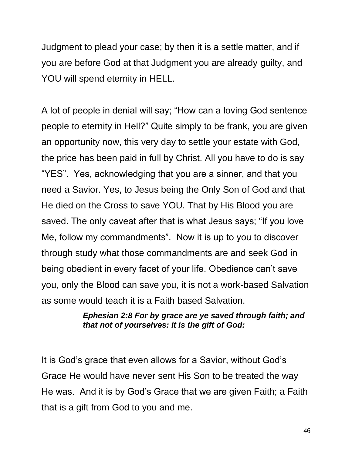Judgment to plead your case; by then it is a settle matter, and if you are before God at that Judgment you are already guilty, and YOU will spend eternity in HELL.

A lot of people in denial will say; "How can a loving God sentence people to eternity in Hell?" Quite simply to be frank, you are given an opportunity now, this very day to settle your estate with God, the price has been paid in full by Christ. All you have to do is say "YES". Yes, acknowledging that you are a sinner, and that you need a Savior. Yes, to Jesus being the Only Son of God and that He died on the Cross to save YOU. That by His Blood you are saved. The only caveat after that is what Jesus says; "If you love Me, follow my commandments". Now it is up to you to discover through study what those commandments are and seek God in being obedient in every facet of your life. Obedience can't save you, only the Blood can save you, it is not a work-based Salvation as some would teach it is a Faith based Salvation.

#### *Ephesian 2:8 For by grace are ye saved through faith; and that not of yourselves: it is the gift of God:*

It is God's grace that even allows for a Savior, without God's Grace He would have never sent His Son to be treated the way He was. And it is by God's Grace that we are given Faith; a Faith that is a gift from God to you and me.